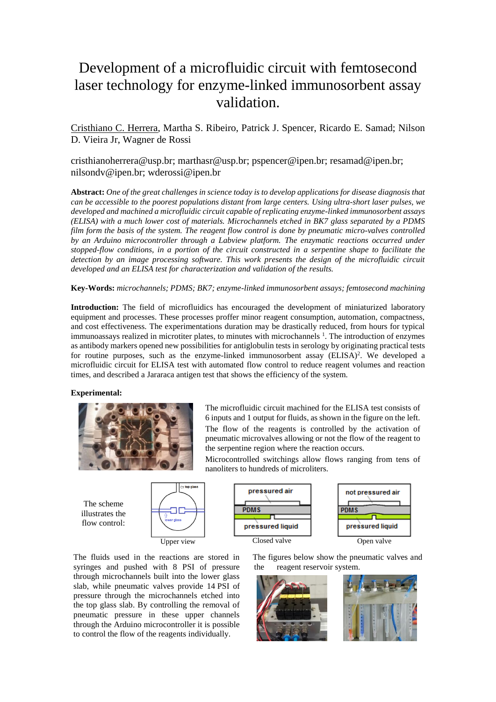## Development of a microfluidic circuit with femtosecond laser technology for enzyme-linked immunosorbent assay validation.

Cristhiano C. Herrera, Martha S. Ribeiro, Patrick J. Spencer, Ricardo E. Samad; Nilson D. Vieira Jr, Wagner de Rossi

cristhianoherrera@usp.br; marthasr@usp.br; pspencer@ipen.br; resamad@ipen.br; nilsondv@ipen.br; wderossi@ipen.br

**Abstract:** *One of the great challenges in science today is to develop applications for disease diagnosis that can be accessible to the poorest populations distant from large centers. Using ultra-short laser pulses, we developed and machined a microfluidic circuit capable of replicating enzyme-linked immunosorbent assays (ELISA) with a much lower cost of materials. Microchannels etched in BK7 glass separated by a PDMS film form the basis of the system. The reagent flow control is done by pneumatic micro-valves controlled by an Arduino microcontroller through a Labview platform. The enzymatic reactions occurred under stopped-flow conditions, in a portion of the circuit constructed in a serpentine shape to facilitate the detection by an image processing software. This work presents the design of the microfluidic circuit developed and an ELISA test for characterization and validation of the results.*

**Key-Words:** *microchannels; PDMS; BK7; enzyme-linked immunosorbent assays; femtosecond machining*

**Introduction:** The field of microfluidics has encouraged the development of miniaturized laboratory equipment and processes. These processes proffer minor reagent consumption, automation, compactness, and cost effectiveness. The experimentations duration may be drastically reduced, from hours for typical immunoassays realized in microtiter plates, to minutes with microchannels <sup>1</sup>. The introduction of enzymes as antibody markers opened new possibilities for antiglobulin tests in serology by originating practical tests for routine purposes, such as the enzyme-linked immunosorbent assay (ELISA)<sup>2</sup>. We developed a microfluidic circuit for ELISA test with automated flow control to reduce reagent volumes and reaction times, and described a Jararaca antigen test that shows the efficiency of the system.

## **Experimental:**



The microfluidic circuit machined for the ELISA test consists of 6 inputs and 1 output for fluids, as shown in the figure on the left. The flow of the reagents is controlled by the activation of pneumatic microvalves allowing or not the flow of the reagent to the serpentine region where the reaction occurs.

Microcontrolled switchings allow flows ranging from tens of nanoliters to hundreds of microliters.

The scheme illustrates the flow control:





The fluids used in the reactions are stored in syringes and pushed with 8 PSI of pressure through microchannels built into the lower glass slab, while pneumatic valves provide 14 PSI of pressure through the microchannels etched into the top glass slab. By controlling the removal of pneumatic pressure in these upper channels through the Arduino microcontroller it is possible to control the flow of the reagents individually.

 The figures below show the pneumatic valves and the reagent reservoir system.